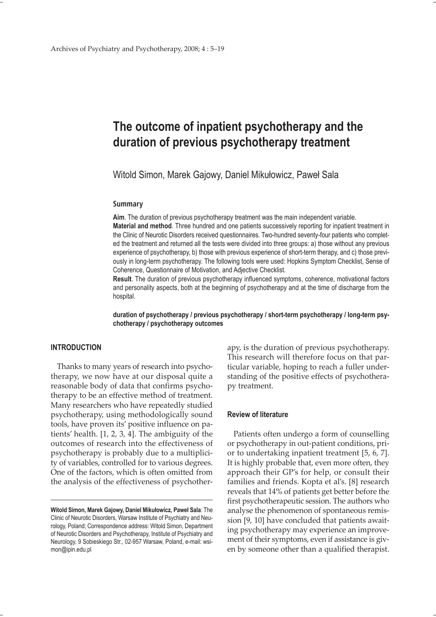# **The outcome of inpatient psychotherapy and the duration of previous psychotherapy treatment**

Witold Simon, Marek Gajowy, Daniel Mikułowicz, Paweł Sala

#### **Summary**

**Aim**. The duration of previous psychotherapy treatment was the main independent variable. **Material and method**. Three hundred and one patients successively reporting for inpatient treatment in the Clinic of Neurotic Disorders received questionnaires. Two-hundred seventy-four patients who completed the treatment and returned all the tests were divided into three groups: a) those without any previous experience of psychotherapy, b) those with previous experience of short-term therapy, and c) those previously in long-term psychotherapy. The following tools were used: Hopkins Symptom Checklist, Sense of Coherence, Questionnaire of Motivation, and Adjective Checklist.

**Result**. The duration of previous psychotherapy influenced symptoms, coherence, motivational factors and personality aspects, both at the beginning of psychotherapy and at the time of discharge from the hospital.

**duration of psychotherapy / previous psychotherapy / short-term psychotherapy / long-term psychotherapy / psychotherapy outcomes**

### **INTRODUCTION**

Thanks to many years of research into psychotherapy, we now have at our disposal quite a reasonable body of data that confirms psychotherapy to be an effective method of treatment. Many researchers who have repeatedly studied psychotherapy, using methodologically sound tools, have proven its' positive influence on patients' health. [1, 2, 3, 4]. The ambiguity of the outcomes of research into the effectiveness of psychotherapy is probably due to a multiplicity of variables, controlled for to various degrees. One of the factors, which is often omitted from the analysis of the effectiveness of psychotherapy, is the duration of previous psychotherapy. This research will therefore focus on that particular variable, hoping to reach a fuller understanding of the positive effects of psychotherapy treatment.

#### **Review of literature**

Patients often undergo a form of counselling or psychotherapy in out-patient conditions, prior to undertaking inpatient treatment [5, 6, 7]. It is highly probable that, even more often, they approach their GP's for help, or consult their families and friends. Kopta et al's. [8] research reveals that 14% of patients get better before the first psychotherapeutic session. The authors who analyse the phenomenon of spontaneous remission [9, 10] have concluded that patients awaiting psychotherapy may experience an improvement of their symptoms, even if assistance is given by someone other than a qualified therapist.

**Witold Simon, Marek Gajowy, Daniel Mikułowicz, Paweł Sala**: The Clinic of Neurotic Disorders, Warsaw Institute of Psychiatry and Neurology, Poland; Correspondence address: Witold Simon, Department of Neurotic Disorders and Psychotherapy, Institute of Psychiatry and Neurology, 9 Sobieskiego Str., 02-957 Warsaw, Poland, e-mail: wsimon@ipin.edu.pl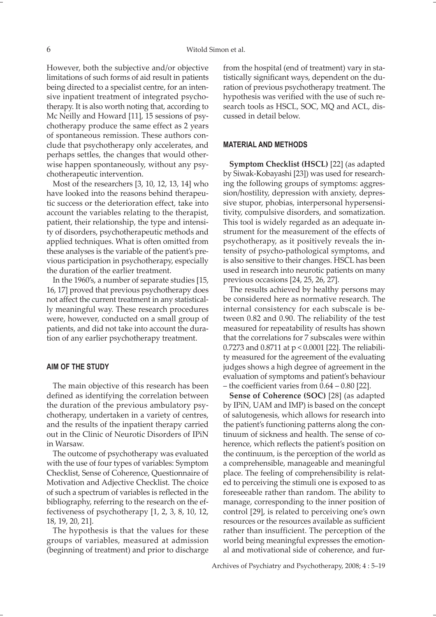However, both the subjective and/or objective limitations of such forms of aid result in patients being directed to a specialist centre, for an intensive inpatient treatment of integrated psychotherapy. It is also worth noting that, according to Mc Neilly and Howard [11], 15 sessions of psychotherapy produce the same effect as 2 years of spontaneous remission. These authors conclude that psychotherapy only accelerates, and perhaps settles, the changes that would otherwise happen spontaneously, without any psychotherapeutic intervention.

Most of the researchers [3, 10, 12, 13, 14] who have looked into the reasons behind therapeutic success or the deterioration effect, take into account the variables relating to the therapist, patient, their relationship, the type and intensity of disorders, psychotherapeutic methods and applied techniques. What is often omitted from these analyses is the variable of the patient's previous participation in psychotherapy, especially the duration of the earlier treatment.

In the 1960's, a number of separate studies [15, 16, 17] proved that previous psychotherapy does not affect the current treatment in any statistically meaningful way. These research procedures were, however, conducted on a small group of patients, and did not take into account the duration of any earlier psychotherapy treatment.

### **AIM OF THE STUDY**

The main objective of this research has been defined as identifying the correlation between the duration of the previous ambulatory psychotherapy, undertaken in a variety of centres, and the results of the inpatient therapy carried out in the Clinic of Neurotic Disorders of IPiN in Warsaw.

The outcome of psychotherapy was evaluated with the use of four types of variables: Symptom Checklist, Sense of Coherence, Questionnaire of Motivation and Adjective Checklist. The choice of such a spectrum of variables is reflected in the bibliography, referring to the research on the effectiveness of psychotherapy [1, 2, 3, 8, 10, 12, 18, 19, 20, 21].

The hypothesis is that the values for these groups of variables, measured at admission (beginning of treatment) and prior to discharge

from the hospital (end of treatment) vary in statistically significant ways, dependent on the duration of previous psychotherapy treatment. The hypothesis was verified with the use of such research tools as HSCL, SOC, MQ and ACL, discussed in detail below.

#### **MATERIAL AND METHODS**

**Symptom Checklist (HSCL)** [22] (as adapted by Siwak-Kobayashi [23]) was used for researching the following groups of symptoms: aggression/hostility, depression with anxiety, depressive stupor, phobias, interpersonal hypersensitivity, compulsive disorders, and somatization. This tool is widely regarded as an adequate instrument for the measurement of the effects of psychotherapy, as it positively reveals the intensity of psycho-pathological symptoms, and is also sensitive to their changes. HSCL has been used in research into neurotic patients on many previous occasions [24, 25, 26, 27].

The results achieved by healthy persons may be considered here as normative research. The internal consistency for each subscale is between 0.82 and 0.90. The reliability of the test measured for repeatability of results has shown that the correlations for 7 subscales were within 0.7273 and 0.8711 at p < 0.0001 [22]. The reliability measured for the agreement of the evaluating judges shows a high degree of agreement in the evaluation of symptoms and patient's behaviour – the coefficient varies from 0.64 – 0.80 [22].

**Sense of Coherence (SOC)** [28] (as adapted by IPiN, UAM and IMP) is based on the concept of salutogenesis, which allows for research into the patient's functioning patterns along the continuum of sickness and health. The sense of coherence, which reflects the patient's position on the continuum, is the perception of the world as a comprehensible, manageable and meaningful place. The feeling of comprehensibility is related to perceiving the stimuli one is exposed to as foreseeable rather than random. The ability to manage, corresponding to the inner position of control [29], is related to perceiving one's own resources or the resources available as sufficient rather than insufficient. The perception of the world being meaningful expresses the emotional and motivational side of coherence, and fur-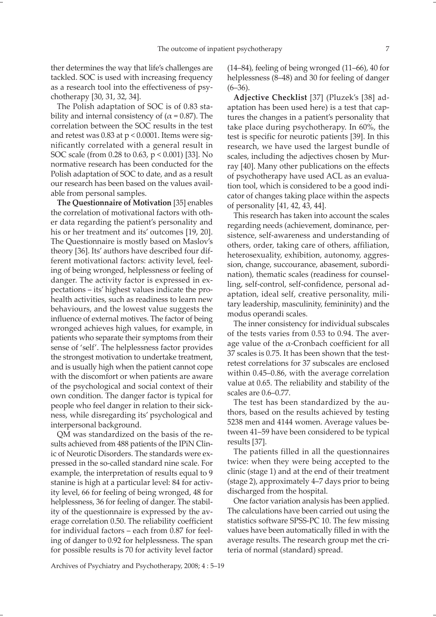ther determines the way that life's challenges are tackled. SOC is used with increasing frequency as a research tool into the effectiveness of psychotherapy [30, 31, 32, 34].

The Polish adaptation of SOC is of 0.83 stability and internal consistency of ( $\alpha$  = 0.87). The correlation between the SOC results in the test and retest was  $0.83$  at  $p < 0.0001$ . Items were significantly correlated with a general result in SOC scale (from 0.28 to 0.63, p < 0.001) [33]. No normative research has been conducted for the Polish adaptation of SOC to date, and as a result our research has been based on the values available from personal samples.

**The Questionnaire of Motivation** [35] enables the correlation of motivational factors with other data regarding the patient's personality and his or her treatment and its' outcomes [19, 20]. The Questionnaire is mostly based on Maslov's theory [36]. Its' authors have described four different motivational factors: activity level, feeling of being wronged, helplessness or feeling of danger. The activity factor is expressed in expectations – its' highest values indicate the prohealth activities, such as readiness to learn new behaviours, and the lowest value suggests the influence of external motives. The factor of being wronged achieves high values, for example, in patients who separate their symptoms from their sense of 'self'. The helplessness factor provides the strongest motivation to undertake treatment, and is usually high when the patient cannot cope with the discomfort or when patients are aware of the psychological and social context of their own condition. The danger factor is typical for people who feel danger in relation to their sickness, while disregarding its' psychological and interpersonal background.

QM was standardized on the basis of the results achieved from 488 patients of the IPiN Clinic of Neurotic Disorders. The standards were expressed in the so-called standard nine scale. For example, the interpretation of results equal to 9 stanine is high at a particular level: 84 for activity level, 66 for feeling of being wronged, 48 for helplessness, 36 for feeling of danger. The stability of the questionnaire is expressed by the average correlation 0.50. The reliability coefficient for individual factors – each from 0.87 for feeling of danger to 0.92 for helplessness. The span for possible results is 70 for activity level factor (14–84), feeling of being wronged (11–66), 40 for helplessness (8–48) and 30 for feeling of danger  $(6-36)$ .

**Adjective Checklist** [37] (Pluzek's [38] adaptation has been used here) is a test that captures the changes in a patient's personality that take place during psychotherapy. In 60%, the test is specific for neurotic patients [39]. In this research, we have used the largest bundle of scales, including the adjectives chosen by Murray [40]. Many other publications on the effects of psychotherapy have used ACL as an evaluation tool, which is considered to be a good indicator of changes taking place within the aspects of personality [41, 42, 43, 44].

This research has taken into account the scales regarding needs (achievement, dominance, persistence, self-awareness and understanding of others, order, taking care of others, affiliation, heterosexuality, exhibition, autonomy, aggression, change, succourance, abasement, subordination), thematic scales (readiness for counselling, self-control, self-confidence, personal adaptation, ideal self, creative personality, military leadership, masculinity, femininity) and the modus operandi scales.

The inner consistency for individual subscales of the tests varies from 0.53 to 0.94. The average value of the  $\alpha$ -Cronbach coefficient for all 37 scales is 0.75. It has been shown that the testretest correlations for 37 subscales are enclosed within 0.45–0.86, with the average correlation value at 0.65. The reliability and stability of the scales are 0.6–0.77.

The test has been standardized by the authors, based on the results achieved by testing 5238 men and 4144 women. Average values between 41–59 have been considered to be typical results [37].

The patients filled in all the questionnaires twice: when they were being accepted to the clinic (stage 1) and at the end of their treatment (stage 2), approximately 4–7 days prior to being discharged from the hospital.

One factor variation analysis has been applied. The calculations have been carried out using the statistics software SPSS-PC 10. The few missing values have been automatically filled in with the average results. The research group met the criteria of normal (standard) spread.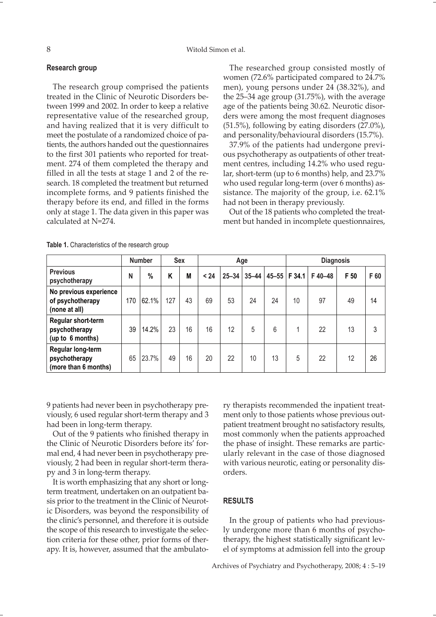#### 8 Witold Simon et al.

#### **Research group**

The research group comprised the patients treated in the Clinic of Neurotic Disorders between 1999 and 2002. In order to keep a relative representative value of the researched group, and having realized that it is very difficult to meet the postulate of a randomized choice of patients, the authors handed out the questionnaires to the first 301 patients who reported for treatment. 274 of them completed the therapy and filled in all the tests at stage 1 and 2 of the research. 18 completed the treatment but returned incomplete forms, and 9 patients finished the therapy before its end, and filled in the forms only at stage 1. The data given in this paper was calculated at N=274.

The researched group consisted mostly of women (72.6% participated compared to 24.7% men), young persons under 24 (38.32%), and the 25–34 age group (31.75%), with the average age of the patients being 30.62. Neurotic disorders were among the most frequent diagnoses (51.5%), following by eating disorders (27.0%), and personality/behavioural disorders (15.7%).

37.9% of the patients had undergone previous psychotherapy as outpatients of other treatment centres, including 14.2% who used regular, short-term (up to 6 months) help, and 23.7% who used regular long-term (over 6 months) assistance. The majority of the group, i.e. 62.1% had not been in therapy previously.

Out of the 18 patients who completed the treatment but handed in incomplete questionnaires,

|                                                             |     | <b>Number</b> | <b>Sex</b> |    |      |           | Age       |    | <b>Diagnosis</b> |        |      |      |
|-------------------------------------------------------------|-----|---------------|------------|----|------|-----------|-----------|----|------------------|--------|------|------|
| <b>Previous</b><br>psychotherapy                            | N   | %             | K          | M  | < 24 | $25 - 34$ | $35 - 44$ |    | 45-55 F 34.1     | F40-48 | F 50 | F 60 |
| No previous experience<br>of psychotherapy<br>(none at all) | 170 | 62.1%         | 127        | 43 | 69   | 53        | 24        | 24 | 10               | 97     | 49   | 14   |
| Regular short-term<br>psychotherapy<br>(up to 6 months)     | 39  | 14.2%         | 23         | 16 | 16   | 12        | 5         | 6  | 4                | 22     | 13   | 3    |
| Regular long-term<br>psychotherapy<br>(more than 6 months)  | 65  | 23.7%         | 49         | 16 | 20   | 22        | 10        | 13 | 5                | 22     | 12   | 26   |

**Table 1.** Characteristics of the research group

9 patients had never been in psychotherapy previously, 6 used regular short-term therapy and 3 had been in long-term therapy.

Out of the 9 patients who finished therapy in the Clinic of Neurotic Disorders before its' formal end, 4 had never been in psychotherapy previously, 2 had been in regular short-term therapy and 3 in long-term therapy.

It is worth emphasizing that any short or longterm treatment, undertaken on an outpatient basis prior to the treatment in the Clinic of Neurotic Disorders, was beyond the responsibility of the clinic's personnel, and therefore it is outside the scope of this research to investigate the selection criteria for these other, prior forms of therapy. It is, however, assumed that the ambulatory therapists recommended the inpatient treatment only to those patients whose previous outpatient treatment brought no satisfactory results, most commonly when the patients approached the phase of insight. These remarks are particularly relevant in the case of those diagnosed with various neurotic, eating or personality disorders.

## **RESULTS**

In the group of patients who had previously undergone more than 6 months of psychotherapy, the highest statistically significant level of symptoms at admission fell into the group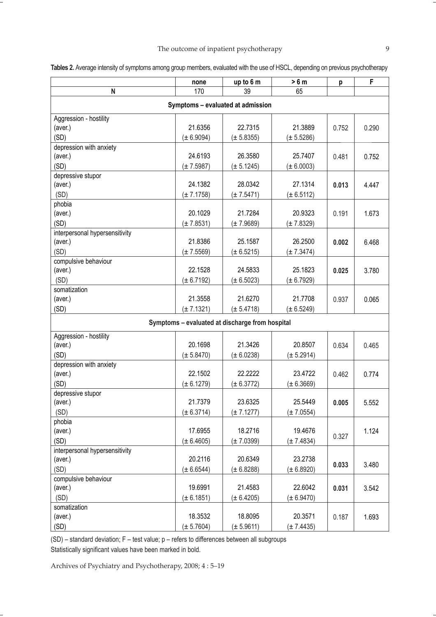|                                   | none           | up to 6 m                                       | > 6 m          | p     | F     |  |  |  |  |
|-----------------------------------|----------------|-------------------------------------------------|----------------|-------|-------|--|--|--|--|
| N                                 | 170            | 39                                              | 65             |       |       |  |  |  |  |
| Symptoms - evaluated at admission |                |                                                 |                |       |       |  |  |  |  |
| Aggression - hostility            |                |                                                 |                |       |       |  |  |  |  |
| (aver.)                           | 21.6356        | 22.7315                                         | 21.3889        | 0.752 | 0.290 |  |  |  |  |
| (SD)                              | (± 6.9094)     | $(\pm 5.8355)$                                  | (± 5.5286)     |       |       |  |  |  |  |
| depression with anxiety           |                |                                                 |                |       |       |  |  |  |  |
| (aver.)                           | 24.6193        | 26.3580                                         | 25.7407        | 0.481 | 0.752 |  |  |  |  |
| (SD)                              | $(\pm 7.5987)$ | $(\pm 5.1245)$                                  | $(\pm 6.0003)$ |       |       |  |  |  |  |
| depressive stupor                 |                |                                                 |                |       |       |  |  |  |  |
| (aver.)                           | 24.1382        | 28.0342                                         | 27.1314        | 0.013 | 4.447 |  |  |  |  |
| (SD)                              | $(\pm 7.1758)$ | $(\pm 7.5471)$                                  | $(\pm 6.5112)$ |       |       |  |  |  |  |
| phobia                            |                |                                                 |                |       |       |  |  |  |  |
| (aver.)                           | 20.1029        | 21.7284                                         | 20.9323        | 0.191 | 1.673 |  |  |  |  |
| (SD)                              | $(\pm 7.8531)$ | $(\pm 7.9689)$                                  | $(\pm 7.8329)$ |       |       |  |  |  |  |
| interpersonal hypersensitivity    |                |                                                 |                |       |       |  |  |  |  |
| (aver.)                           | 21.8386        | 25.1587                                         | 26.2500        | 0.002 | 6.468 |  |  |  |  |
| (SD)                              | $(\pm 7.5569)$ | $(\pm 6.5215)$                                  | $(\pm 7.3474)$ |       |       |  |  |  |  |
| compulsive behaviour              |                |                                                 |                |       |       |  |  |  |  |
| (aver.)                           | 22.1528        | 24.5833                                         | 25.1823        | 0.025 | 3.780 |  |  |  |  |
| (SD)                              | $(\pm 6.7192)$ | $(\pm 6.5023)$                                  | $(\pm 6.7929)$ |       |       |  |  |  |  |
| somatization                      |                |                                                 |                |       |       |  |  |  |  |
| (aver.)                           | 21.3558        | 21.6270                                         | 21.7708        | 0.937 | 0.065 |  |  |  |  |
| (SD)                              | $(\pm 7.1321)$ | $(\pm 5.4718)$                                  | $(\pm 6.5249)$ |       |       |  |  |  |  |
|                                   |                | Symptoms - evaluated at discharge from hospital |                |       |       |  |  |  |  |
| Aggression - hostility            |                |                                                 |                |       |       |  |  |  |  |
| (aver.)                           | 20.1698        | 21.3426                                         | 20.8507        | 0.634 | 0.465 |  |  |  |  |
| (SD)                              | $(\pm 5.8470)$ | $(\pm 6.0238)$                                  | $(\pm 5.2914)$ |       |       |  |  |  |  |
| depression with anxiety           |                |                                                 |                |       |       |  |  |  |  |
| (aver.)                           | 22.1502        | 22.2222                                         | 23.4722        | 0.462 | 0.774 |  |  |  |  |
| (SD)                              | $(\pm 6.1279)$ | $(\pm 6.3772)$                                  | (± 6.3669)     |       |       |  |  |  |  |
| depressive stupor                 |                |                                                 |                |       |       |  |  |  |  |
| (aver.)                           | 21.7379        | 23.6325                                         | 25.5449        | 0.005 | 5.552 |  |  |  |  |
| (SD)                              | (± 6.3714)     | $(\pm 7.1277)$                                  | $(\pm 7.0554)$ |       |       |  |  |  |  |
| phobia                            |                |                                                 |                |       |       |  |  |  |  |
| (aver.)                           | 17.6955        | 18.2716                                         | 19.4676        | 0.327 | 1.124 |  |  |  |  |
| (SD)                              | $(\pm 6.4605)$ | $(\pm 7.0399)$                                  | $(\pm 7.4834)$ |       |       |  |  |  |  |
| interpersonal hypersensitivity    |                |                                                 |                |       |       |  |  |  |  |
| (aver.)                           | 20.2116        | 20.6349                                         | 23.2738        | 0.033 | 3.480 |  |  |  |  |
| (SD)                              | $(\pm 6.6544)$ | (± 6.8288)                                      | (± 6.8920)     |       |       |  |  |  |  |
| compulsive behaviour              |                |                                                 |                |       |       |  |  |  |  |
| (aver.)                           | 19.6991        | 21.4583                                         | 22.6042        | 0.031 | 3.542 |  |  |  |  |
| (SD)                              | $(\pm 6.1851)$ | $(\pm 6.4205)$                                  | $(\pm 6.9470)$ |       |       |  |  |  |  |
| somatization                      |                |                                                 |                |       |       |  |  |  |  |
| (aver.)                           | 18.3532        | 18.8095                                         | 20.3571        | 0.187 | 1.693 |  |  |  |  |
| (SD)                              | $(\pm 5.7604)$ | $(\pm 5.9611)$                                  | (± 7.4435)     |       |       |  |  |  |  |

**Tables 2.** Average intensity of symptoms among group members, evaluated with the use of HSCL, depending on previous psychotherapy

(SD) – standard deviation; F – test value; p – refers to differences between all subgroups Statistically significant values have been marked in bold.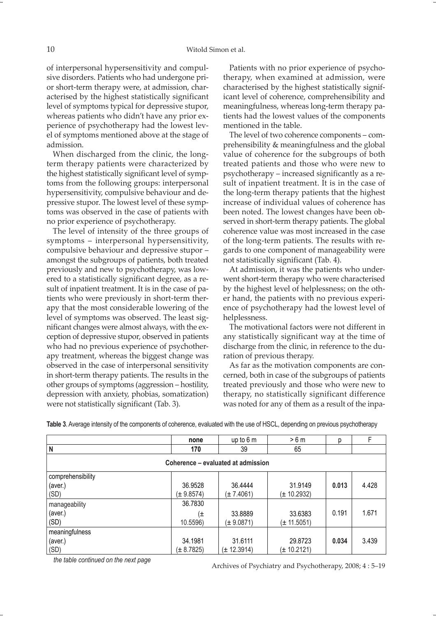of interpersonal hypersensitivity and compulsive disorders. Patients who had undergone prior short-term therapy were, at admission, characterised by the highest statistically significant level of symptoms typical for depressive stupor, whereas patients who didn't have any prior experience of psychotherapy had the lowest level of symptoms mentioned above at the stage of admission.

When discharged from the clinic, the longterm therapy patients were characterized by the highest statistically significant level of symptoms from the following groups: interpersonal hypersensitivity, compulsive behaviour and depressive stupor. The lowest level of these symptoms was observed in the case of patients with no prior experience of psychotherapy.

The level of intensity of the three groups of symptoms – interpersonal hypersensitivity, compulsive behaviour and depressive stupor – amongst the subgroups of patients, both treated previously and new to psychotherapy, was lowered to a statistically significant degree, as a result of inpatient treatment. It is in the case of patients who were previously in short-term therapy that the most considerable lowering of the level of symptoms was observed. The least significant changes were almost always, with the exception of depressive stupor, observed in patients who had no previous experience of psychotherapy treatment, whereas the biggest change was observed in the case of interpersonal sensitivity in short-term therapy patients. The results in the other groups of symptoms (aggression – hostility, depression with anxiety, phobias, somatization) were not statistically significant (Tab. 3).

Patients with no prior experience of psychotherapy, when examined at admission, were characterised by the highest statistically significant level of coherence, comprehensibility and meaningfulness, whereas long-term therapy patients had the lowest values of the components mentioned in the table.

The level of two coherence components – comprehensibility & meaningfulness and the global value of coherence for the subgroups of both treated patients and those who were new to psychotherapy – increased significantly as a result of inpatient treatment. It is in the case of the long-term therapy patients that the highest increase of individual values of coherence has been noted. The lowest changes have been observed in short-term therapy patients. The global coherence value was most increased in the case of the long-term patients. The results with regards to one component of manageability were not statistically significant (Tab. 4).

At admission, it was the patients who underwent short-term therapy who were characterised by the highest level of helplessness; on the other hand, the patients with no previous experience of psychotherapy had the lowest level of helplessness.

The motivational factors were not different in any statistically significant way at the time of discharge from the clinic, in reference to the duration of previous therapy.

As far as the motivation components are concerned, both in case of the subgroups of patients treated previously and those who were new to therapy, no statistically significant difference was noted for any of them as a result of the inpa-

|                                    | none           | up to 6 m       | >6m             | р     |       |  |  |  |  |  |
|------------------------------------|----------------|-----------------|-----------------|-------|-------|--|--|--|--|--|
| N                                  | 170            | 39              | 65              |       |       |  |  |  |  |  |
| Coherence – evaluated at admission |                |                 |                 |       |       |  |  |  |  |  |
| comprehensibility                  |                |                 |                 |       |       |  |  |  |  |  |
| (aver.)                            | 36.9528        | 36.4444         | 31.9149         | 0.013 | 4.428 |  |  |  |  |  |
| (SD)                               | (± 9.8574)     | $(\pm 7.4061)$  | (± 10.2932)     |       |       |  |  |  |  |  |
| manageability                      | 36.7830        |                 |                 |       |       |  |  |  |  |  |
| (aver.)                            | (±             | 33.8889         | 33.6383         | 0.191 | 1.671 |  |  |  |  |  |
| (SD)                               | 10.5596)       | $(\pm 9.0871)$  | $(\pm 11.5051)$ |       |       |  |  |  |  |  |
| meaningfulness                     |                |                 |                 |       |       |  |  |  |  |  |
| (aver.)                            | 34.1981        | 31.6111         | 29.8723         | 0.034 | 3.439 |  |  |  |  |  |
| (SD)                               | $(\pm 8.7825)$ | $(\pm 12.3914)$ | (± 10.2121)     |       |       |  |  |  |  |  |

**Table 3**. Average intensity of the components of coherence, evaluated with the use of HSCL, depending on previous psychotherapy

*the table continued on the next page*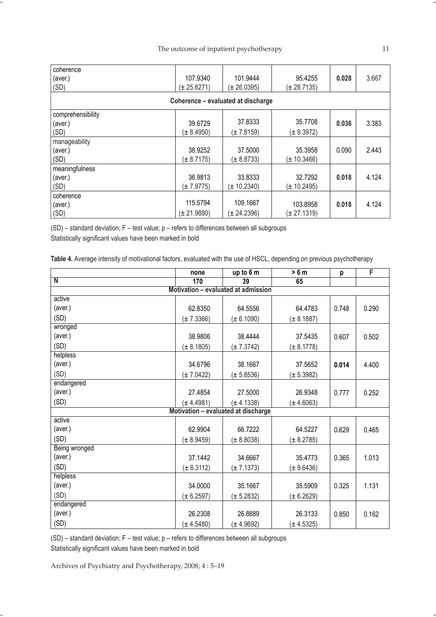| coherence                          |                 |                 |                 |       |       |  |  |  |  |
|------------------------------------|-----------------|-----------------|-----------------|-------|-------|--|--|--|--|
| (aver.)                            | 107.9340        | 101.9444        | 95.4255         | 0.028 | 3.667 |  |  |  |  |
| (SD)                               | (± 25.6271)     | (± 26.0395)     | (± 28.7135)     |       |       |  |  |  |  |
| Coherence - evaluated at discharge |                 |                 |                 |       |       |  |  |  |  |
| comprehensibility                  |                 |                 |                 |       |       |  |  |  |  |
| (aver.)                            | 39.6729         | 37.8333         | 35.7708         | 0.036 | 3.383 |  |  |  |  |
| (SD)                               | $(\pm 8.4950)$  | $(\pm 7.8159)$  | $(\pm 9.3972)$  |       |       |  |  |  |  |
| manageability                      |                 |                 |                 |       |       |  |  |  |  |
| (aver.)                            | 38.9252         | 37.5000         | 35.3958         | 0.090 | 2.443 |  |  |  |  |
| (SD)                               | $(\pm 8.7175)$  | $(\pm 8.8733)$  | $(\pm 10.3466)$ |       |       |  |  |  |  |
| meaningfulness                     |                 |                 |                 |       |       |  |  |  |  |
| (aver.)                            | 36.9813         | 33.8333         | 32.7292         | 0.018 | 4.124 |  |  |  |  |
| (SD)                               | $(\pm 7.9775)$  | $(\pm 10.2340)$ | $(\pm 10.2495)$ |       |       |  |  |  |  |
| coherence                          |                 |                 |                 |       |       |  |  |  |  |
| (aver.)                            | 115.5794        | 109.1667        | 103.8958        | 0.018 | 4.124 |  |  |  |  |
| (SD)                               | $(\pm 21.9880)$ | $(\pm 24.2396)$ | $(\pm 27.1319)$ |       |       |  |  |  |  |

(SD) – standard deviation; F – test value; p – refers to differences between all subgroups Statistically significant values have been marked in bold

| Table 4. Average intensity of motivational factors, evaluated with the use of HSCL, depending on previous psychotherapy |  |  |  |  |  |  |
|-------------------------------------------------------------------------------------------------------------------------|--|--|--|--|--|--|
|-------------------------------------------------------------------------------------------------------------------------|--|--|--|--|--|--|

|                                     | none           | up to 6 m                           | > 6 m          | p     | $\overline{F}$ |  |  |  |  |
|-------------------------------------|----------------|-------------------------------------|----------------|-------|----------------|--|--|--|--|
| $\overline{N}$                      | 170            | 39                                  | 65             |       |                |  |  |  |  |
| Motivation - evaluated at admission |                |                                     |                |       |                |  |  |  |  |
| active                              |                |                                     |                |       |                |  |  |  |  |
| (aver.)                             | 62.8350        | 64.5556                             | 64.4783        | 0.748 | 0.290          |  |  |  |  |
| (SD)                                | $(\pm 7.3366)$ | $(\pm 6.1090)$                      | $(\pm 8.1887)$ |       |                |  |  |  |  |
| wronged                             |                |                                     |                |       |                |  |  |  |  |
| (aver.)                             | 38.9806        | 38.4444                             | 37.5435        | 0.607 | 0.502          |  |  |  |  |
| (SD)                                | $(\pm 8.1805)$ | $(\pm 7.3742)$                      | $(\pm 8.1778)$ |       |                |  |  |  |  |
| helpless                            |                |                                     |                |       |                |  |  |  |  |
| (aver.)                             | 34.6796        | 38.1667                             | 37.5652        | 0.014 | 4.400          |  |  |  |  |
| (SD)                                | $(\pm 7.0422)$ | $(\pm 5.8536)$                      | $(\pm 5.3982)$ |       |                |  |  |  |  |
| endangered                          |                |                                     |                |       |                |  |  |  |  |
| (aver.)                             | 27.4854        | 27.5000                             | 26.9348        | 0.777 | 0.252          |  |  |  |  |
| (SD)                                | $(\pm 4.4981)$ | $(\pm 4.1338)$                      | $(\pm 4.6063)$ |       |                |  |  |  |  |
|                                     |                | Motivation - evaluated at discharge |                |       |                |  |  |  |  |
| active                              |                |                                     |                |       |                |  |  |  |  |
| (aver.)                             | 62.9904        | 66.7222                             | 64.5227        | 0.629 | 0.465          |  |  |  |  |
| (SD)                                | (± 8.9459)     | $(\pm 8.8038)$                      | $(\pm 8.2785)$ |       |                |  |  |  |  |
| <b>Being wronged</b>                |                |                                     |                |       |                |  |  |  |  |
| (aver.)                             | 37.1442        | 34.6667                             | 35.4773        | 0.365 | 1.013          |  |  |  |  |
| (SD)                                | $(\pm 8.3112)$ | $(\pm 7.1373)$                      | $(\pm 9.6436)$ |       |                |  |  |  |  |
| helpless                            |                |                                     |                |       |                |  |  |  |  |
| (aver.)                             | 34.0000        | 35.1667                             | 35.5909        | 0.325 | 1.131          |  |  |  |  |
| (SD)                                | $(\pm 6.2597)$ | $(\pm 5.2832)$                      | $(\pm 6.2629)$ |       |                |  |  |  |  |
| endangered                          |                |                                     |                |       |                |  |  |  |  |
| (aver.)                             | 26.2308        | 26.8889                             | 26.3133        | 0.850 | 0.162          |  |  |  |  |
| (SD)                                | $(\pm 4.5480)$ | $(\pm 4.9692)$                      | $(\pm 4.5325)$ |       |                |  |  |  |  |

(SD) – standard deviation; F – test value; p – refers to differences between all subgroups Statistically significant values have been marked in bold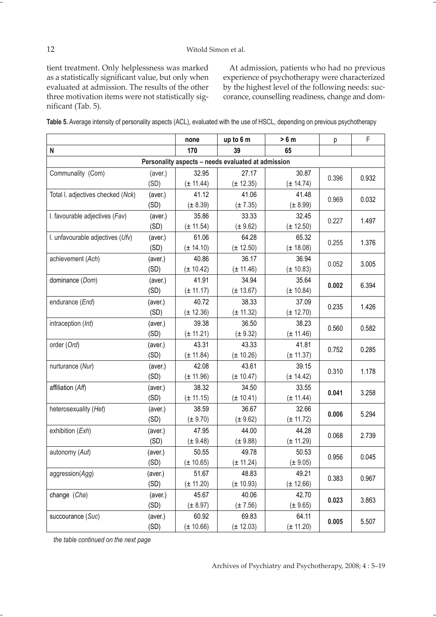tient treatment. Only helplessness was marked as a statistically significant value, but only when evaluated at admission. The results of the other three motivation items were not statistically significant (Tab. 5).

At admission, patients who had no previous experience of psychotherapy were characterized by the highest level of the following needs: succorance, counselling readiness, change and dom-

| Table 5. Average intensity of personality aspects (ACL), evaluated with the use of HSCL, depending on previous psychotherapy |  |  |  |
|------------------------------------------------------------------------------------------------------------------------------|--|--|--|
|------------------------------------------------------------------------------------------------------------------------------|--|--|--|

|                                                    |         | none          | up to 6 m     | > 6 m         | p     | F     |  |  |
|----------------------------------------------------|---------|---------------|---------------|---------------|-------|-------|--|--|
| $\mathsf{N}$                                       |         | 170           | 39            | 65            |       |       |  |  |
| Personality aspects - needs evaluated at admission |         |               |               |               |       |       |  |  |
| Communality (Com)                                  | (aver.) | 32.95         | 27.17         | 30.87         | 0.396 | 0.932 |  |  |
|                                                    | (SD)    | $(\pm 11.44)$ | $(\pm 12.35)$ | (± 14.74)     |       |       |  |  |
| Total I. adjectives checked (Nck)                  | (aver.) | 41.12         | 41.06         | 41.48         | 0.969 | 0.032 |  |  |
|                                                    | (SD)    | $(\pm 8.39)$  | $(\pm 7.35)$  | $(\pm 8.99)$  |       |       |  |  |
| I. favourable adjectives (Fav)                     | (aver.) | 35.86         | 33.33         | 32.45         | 0.227 | 1.497 |  |  |
|                                                    | (SD)    | $(\pm 11.54)$ | $(\pm 9.62)$  | $(\pm 12.50)$ |       |       |  |  |
| I. unfavourable adjectives (Ufv)                   | (aver.) | 61.06         | 64.28         | 65.32         | 0.255 | 1.376 |  |  |
|                                                    | (SD)    | $(\pm 14.10)$ | $(\pm 12.50)$ | $(\pm 18.08)$ |       |       |  |  |
| achievement (Ach)                                  | (aver.) | 40.86         | 36.17         | 36.94         | 0.052 | 3.005 |  |  |
|                                                    | (SD)    | $(\pm 10.42)$ | $(\pm 11.46)$ | (± 10.83)     |       |       |  |  |
| dominance (Dom)                                    | (aver.) | 41.91         | 34.94         | 35.64         | 0.002 | 6.394 |  |  |
|                                                    | (SD)    | $(\pm 11.17)$ | $(\pm 13.67)$ | $(\pm 10.84)$ |       |       |  |  |
| endurance (End)                                    | (aver.) | 40.72         | 38.33         | 37.09         | 0.235 | 1.426 |  |  |
|                                                    | (SD)    | $(\pm 12.36)$ | $(\pm 11.32)$ | $(\pm 12.70)$ |       |       |  |  |
| intraception (Int)                                 | (aver.) | 39.38         | 36.50         | 38.23         | 0.560 | 0.582 |  |  |
|                                                    | (SD)    | $(\pm 11.21)$ | $(\pm 9.32)$  | $(\pm 11.46)$ |       |       |  |  |
| order (Ord)                                        | (aver.) | 43.31         | 43.33         | 41.81         | 0.752 | 0.285 |  |  |
|                                                    | (SD)    | $(\pm 11.84)$ | $(\pm 10.26)$ | $(\pm 11.37)$ |       |       |  |  |
| nurturance (Nur)                                   | (aver.) | 42.08         | 43.61         | 39.15         | 0.310 | 1.178 |  |  |
|                                                    | (SD)    | $(\pm 11.96)$ | $(\pm 10.47)$ | $(\pm 14.42)$ |       |       |  |  |
| affiliation (Aff)                                  | (aver.) | 38.32         | 34.50         | 33.55         | 0.041 | 3.258 |  |  |
|                                                    | (SD)    | $(\pm 11.15)$ | $(\pm 10.41)$ | $(\pm 11.44)$ |       |       |  |  |
| heterosexuality (Het)                              | (aver.) | 38.59         | 36.67         | 32.66         | 0.006 | 5.294 |  |  |
|                                                    | (SD)    | $(\pm 9.70)$  | $(\pm 9.62)$  | $(\pm 11.72)$ |       |       |  |  |
| exhibition (Exh)                                   | (aver.) | 47.95         | 44.00         | 44.28         | 0.068 | 2.739 |  |  |
|                                                    | (SD)    | $(\pm 9.48)$  | (± 9.88)      | $(\pm 11.29)$ |       |       |  |  |
| autonomy (Aut)                                     | (aver.) | 50.55         | 49.78         | 50.53         | 0.956 | 0.045 |  |  |
|                                                    | (SD)    | (± 10.65)     | $(\pm 11.24)$ | (± 9.05)      |       |       |  |  |
| aggression(Agg)                                    | (aver.) | 51.67         | 48.83         | 49.21         | 0.383 | 0.967 |  |  |
|                                                    | (SD)    | $(\pm 11.20)$ | $(\pm 10.93)$ | (± 12.66)     |       |       |  |  |
| change (Cha)                                       | (aver.) | 45.67         | 40.06         | 42.70         | 0.023 | 3.863 |  |  |
|                                                    | (SD)    | $(\pm 8.97)$  | $(\pm 7.56)$  | $(\pm 9.65)$  |       |       |  |  |
| succourance (Suc)                                  | (aver.) | 60.92         | 69.83         | 64.11         | 0.005 | 5.507 |  |  |
|                                                    | (SD)    | (± 10.66)     | $(\pm 12.03)$ | $(\pm 11.20)$ |       |       |  |  |

*the table continued on the next page*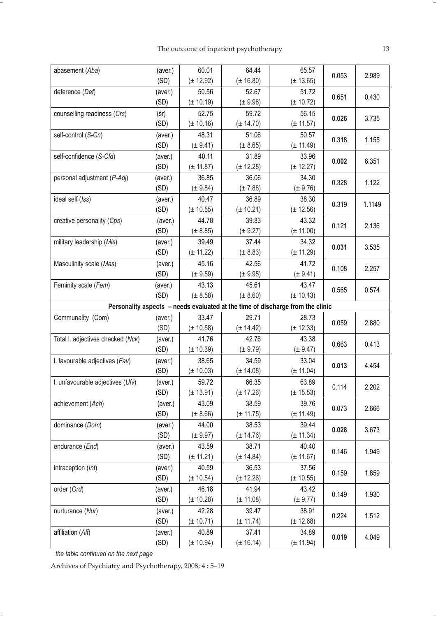| abasement (Aba)                   | (aver.)<br>(SD) | 60.01<br>$(\pm 12.92)$ | 64.44<br>$(\pm 16.80)$ | 65.57<br>(± 13.65)                                                             | 0.053 | 2.989  |
|-----------------------------------|-----------------|------------------------|------------------------|--------------------------------------------------------------------------------|-------|--------|
| deference (Def)                   | (aver.)<br>(SD) | 50.56<br>$(\pm 10.19)$ | 52.67<br>$(\pm 9.98)$  | 51.72<br>$(\pm 10.72)$                                                         | 0.651 | 0.430  |
| counselling readiness (Crs)       | (s)<br>(SD)     | 52.75<br>$(\pm 10.16)$ | 59.72<br>$(\pm 14.70)$ | 56.15<br>$(\pm 11.57)$                                                         | 0.026 | 3.735  |
| self-control (S-Cn)               | (aver.)<br>(SD) | 48.31<br>$(\pm 9.41)$  | 51.06<br>(± 8.65)      | 50.57<br>$(\pm 11.49)$                                                         | 0.318 | 1.155  |
| self-confidence (S-Cfd)           | (aver.)<br>(SD) | 40.11<br>$(\pm 11.87)$ | 31.89<br>$(\pm 12.28)$ | 33.96<br>$(\pm 12.27)$                                                         | 0.002 | 6.351  |
| personal adjustment (P-Adj)       | (aver.)<br>(SD) | 36.85<br>$(\pm 9.84)$  | 36.06<br>$(\pm 7.88)$  | 34.30<br>$(\pm 9.76)$                                                          | 0.328 | 1.122  |
| ideal self (Iss)                  | (aver.)<br>(SD) | 40.47<br>$(\pm 10.55)$ | 36.89<br>$(\pm 10.21)$ | 38.30<br>$(\pm 12.56)$                                                         | 0.319 | 1.1149 |
| creative personality (Cps)        | (aver.)<br>(SD) | 44.78<br>$(\pm 8.85)$  | 39.83<br>$(\pm 9.27)$  | 43.32<br>$(\pm 11.00)$                                                         | 0.121 | 2.136  |
| military leadership (MIs)         | (aver.)<br>(SD) | 39.49<br>$(\pm 11.22)$ | 37.44<br>$(\pm 8.83)$  | 34.32<br>$(\pm 11.29)$                                                         | 0.031 | 3.535  |
| Masculinity scale (Mas)           | (aver.)<br>(SD) | 45.16<br>$(\pm 9.59)$  | 42.56<br>$(\pm 9.95)$  | 41.72<br>$(\pm 9.41)$                                                          | 0.108 | 2.257  |
| Feminity scale (Fem)              | (aver.)<br>(SD) | 43.13<br>$(\pm 8.58)$  | 45.61<br>$(\pm 8.60)$  | 43.47<br>$(\pm 10.13)$                                                         | 0.565 | 0.574  |
|                                   |                 |                        |                        | Personality aspects - needs evaluated at the time of discharge from the clinic |       |        |
| Communality (Com)                 | (aver.)<br>(SD) | 33.47<br>$(\pm 10.58)$ | 29.71<br>$(\pm 14.42)$ | 28.73<br>$(\pm 12.33)$                                                         | 0.059 | 2.880  |
| Total I. adjectives checked (Nck) | (aver.)<br>(SD) | 41.76<br>$(\pm 10.39)$ | 42.76<br>$(\pm 9.79)$  | 43.38<br>$(\pm 9.47)$                                                          | 0.663 | 0.413  |
| I. favourable adjectives (Fav)    | (aver.)<br>(SD) | 38.65<br>$(\pm 10.03)$ | 34.59<br>$(\pm 14.08)$ | 33.04<br>$(\pm 11.04)$                                                         | 0.013 | 4.454  |
| I. unfavourable adjectives (Ufv)  | (aver.)<br>(SD) | 59.72<br>$(\pm 13.91)$ | 66.35<br>$(\pm 17.26)$ | 63.89<br>$(\pm 15.53)$                                                         | 0.114 | 2.202  |
| achievement (Ach)                 | (aver.)<br>(SD) | 43.09<br>(± 8.66)      | 38.59<br>$(\pm 11.75)$ | 39.76<br>$(\pm 11.49)$                                                         | 0.073 | 2.666  |
| dominance (Dom)                   | (aver.)<br>(SD) | 44.00<br>$(\pm 9.97)$  | 38.53<br>$(\pm 14.76)$ | 39.44<br>$(\pm 11.34)$                                                         | 0.028 | 3.673  |
| endurance (End)                   | (aver.)<br>(SD) | 43.59<br>$(\pm 11.21)$ | 38.71<br>$(\pm 14.84)$ | 40.40<br>$(\pm 11.67)$                                                         | 0.146 | 1.949  |
| intraception (Int)                | (aver.)<br>(SD) | 40.59<br>$(\pm 10.54)$ | 36.53<br>$(\pm 12.26)$ | 37.56<br>$(\pm 10.55)$                                                         | 0.159 | 1.859  |
| order (Ord)                       | (aver.)<br>(SD) | 46.18<br>$(\pm 10.28)$ | 41.94<br>$(\pm 11.08)$ | 43.42<br>$(\pm 9.77)$                                                          | 0.149 | 1.930  |
| nurturance (Nur)                  | (aver.)<br>(SD) | 42.28<br>$(\pm 10.71)$ | 39.47<br>$(\pm 11.74)$ | 38.91<br>$(\pm 12.68)$                                                         | 0.224 | 1.512  |
| affiliation (Aff)                 | (aver.)<br>(SD) | 40.89<br>$(\pm 10.94)$ | 37.41<br>(± 16.14)     | 34.89<br>$(\pm 11.94)$                                                         | 0.019 | 4.049  |

*the table continued on the next page*

-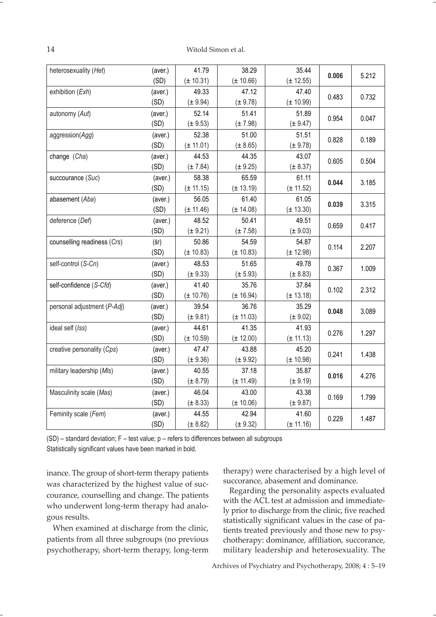14 Witold Simon et al.

| heterosexuality (Het)       | (aver.) | 41.79         | 38.29         | 35.44         | 0.006 | 5.212 |
|-----------------------------|---------|---------------|---------------|---------------|-------|-------|
|                             | (SD)    | $(\pm 10.31)$ | $(\pm 10.66)$ | $(\pm 12.55)$ |       |       |
| exhibition (Exh)            | (aver.) | 49.33         | 47.12         | 47.40         | 0.483 | 0.732 |
|                             | (SD)    | $(\pm 9.94)$  | $(\pm 9.78)$  | $(\pm 10.99)$ |       |       |
| autonomy (Aut)              | (aver.) | 52.14         | 51.41         | 51.89         | 0.954 | 0.047 |
|                             | (SD)    | $(\pm 9.53)$  | $(\pm 7.98)$  | $(\pm 9.47)$  |       |       |
| aggression(Agg)             | (aver.) | 52.38         | 51.00         | 51.51         | 0.828 | 0.189 |
|                             | (SD)    | $(\pm 11.01)$ | (± 8.65)      | $(\pm 9.78)$  |       |       |
| change (Cha)                | (aver.) | 44.53         | 44.35         | 43.07         | 0.605 | 0.504 |
|                             | (SD)    | $(\pm 7.84)$  | (± 9.25)      | $(\pm 8.37)$  |       |       |
| succourance (Suc)           | (aver.) | 58.38         | 65.59         | 61.11         | 0.044 | 3.185 |
|                             | (SD)    | $(\pm 11.15)$ | $(\pm 13.19)$ | $(\pm 11.52)$ |       |       |
| abasement (Aba)             | (aver.) | 56.05         | 61.40         | 61.05         | 0.039 | 3.315 |
|                             | (SD)    | $(\pm 11.46)$ | $(\pm 14.08)$ | $(\pm 13.30)$ |       |       |
| deference (Def)             | (aver.) | 48.52         | 50.41         | 49.51         | 0.659 | 0.417 |
|                             | (SD)    | $(\pm 9.21)$  | $(\pm 7.58)$  | $(\pm 9.03)$  |       |       |
| counselling readiness (Crs) | (s)     | 50.86         | 54.59         | 54.87         |       | 2.207 |
|                             | (SD)    | $(\pm 10.83)$ | $(\pm 10.83)$ | $(\pm 12.98)$ | 0.114 |       |
| self-control (S-Cn)         | (aver.) | 48.53         | 51.65         | 49.78         |       |       |
|                             | (SD)    | $(\pm 9.33)$  | $(\pm 5.93)$  | $(\pm 8.83)$  | 0.367 | 1.009 |
| self-confidence (S-Cfd)     | (aver.) | 41.40         | 35.76         | 37.84         | 0.102 | 2.312 |
|                             | (SD)    | $(\pm 10.76)$ | $(\pm 16.94)$ | $(\pm 13.18)$ |       |       |
| personal adjustment (P-Adj) | (aver.) | 39.54         | 36.76         | 35.29         | 0.048 | 3.089 |
|                             | (SD)    | $(\pm 9.81)$  | $(\pm 11.03)$ | $(\pm 9.02)$  |       |       |
| ideal self (Iss)            | (aver.) | 44.61         | 41.35         | 41.93         | 0.276 | 1.297 |
|                             | (SD)    | $(\pm 10.59)$ | $(\pm 12.00)$ | $(\pm 11.13)$ |       |       |
| creative personality (Cps)  | (aver.) | 47.47         | 43.88         | 45.20         | 0.241 | 1.438 |
|                             | (SD)    | $(\pm 9.36)$  | (± 9.92)      | (± 10.98)     |       |       |
| military leadership (MIs)   | (aver.) | 40.55         | 37.18         | 35.87         | 0.016 | 4.276 |
|                             | (SD)    | $(\pm 8.79)$  | $(\pm 11.49)$ | $(\pm 9.19)$  |       |       |
| Masculinity scale (Mas)     | (aver.) | 46.04         | 43.00         | 43.38         | 0.169 | 1.799 |
|                             | (SD)    | (± 8.33)      | $(\pm 10.06)$ | $(\pm 9.87)$  |       |       |
| Feminity scale (Fem)        | (aver.) | 44.55         | 42.94         | 41.60         | 0.229 |       |
|                             | (SD)    | $(\pm 8.82)$  | (± 9.32)      | $(\pm 11.16)$ |       | 1.487 |

(SD) – standard deviation; F – test value; p – refers to differences between all subgroups Statistically significant values have been marked in bold.

inance. The group of short-term therapy patients was characterized by the highest value of succourance, counselling and change. The patients who underwent long-term therapy had analogous results.

When examined at discharge from the clinic, patients from all three subgroups (no previous psychotherapy, short-term therapy, long-term therapy) were characterised by a high level of succorance, abasement and dominance.

Regarding the personality aspects evaluated with the ACL test at admission and immediately prior to discharge from the clinic, five reached statistically significant values in the case of patients treated previously and those new to psychotherapy: dominance, affiliation, succorance, military leadership and heterosexuality. The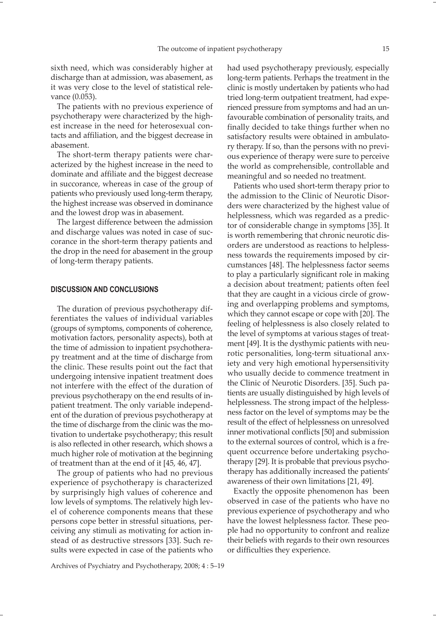sixth need, which was considerably higher at discharge than at admission, was abasement, as it was very close to the level of statistical relevance (0.053).

The patients with no previous experience of psychotherapy were characterized by the highest increase in the need for heterosexual contacts and affiliation, and the biggest decrease in abasement.

The short-term therapy patients were characterized by the highest increase in the need to dominate and affiliate and the biggest decrease in succorance, whereas in case of the group of patients who previously used long-term therapy, the highest increase was observed in dominance and the lowest drop was in abasement.

The largest difference between the admission and discharge values was noted in case of succorance in the short-term therapy patients and the drop in the need for abasement in the group of long-term therapy patients.

#### **DISCUSSION AND CONCLUSIONS**

The duration of previous psychotherapy differentiates the values of individual variables (groups of symptoms, components of coherence, motivation factors, personality aspects), both at the time of admission to inpatient psychotherapy treatment and at the time of discharge from the clinic. These results point out the fact that undergoing intensive inpatient treatment does not interfere with the effect of the duration of previous psychotherapy on the end results of inpatient treatment. The only variable independent of the duration of previous psychotherapy at the time of discharge from the clinic was the motivation to undertake psychotherapy; this result is also reflected in other research, which shows a much higher role of motivation at the beginning of treatment than at the end of it [45, 46, 47].

The group of patients who had no previous experience of psychotherapy is characterized by surprisingly high values of coherence and low levels of symptoms. The relatively high level of coherence components means that these persons cope better in stressful situations, perceiving any stimuli as motivating for action instead of as destructive stressors [33]. Such results were expected in case of the patients who

had used psychotherapy previously, especially long-term patients. Perhaps the treatment in the clinic is mostly undertaken by patients who had tried long-term outpatient treatment, had experienced pressure from symptoms and had an unfavourable combination of personality traits, and finally decided to take things further when no satisfactory results were obtained in ambulatory therapy. If so, than the persons with no previous experience of therapy were sure to perceive the world as comprehensible, controllable and meaningful and so needed no treatment.

Patients who used short-term therapy prior to the admission to the Clinic of Neurotic Disorders were characterized by the highest value of helplessness, which was regarded as a predictor of considerable change in symptoms [35]. It is worth remembering that chronic neurotic disorders are understood as reactions to helplessness towards the requirements imposed by circumstances [48]. The helplessness factor seems to play a particularly significant role in making a decision about treatment; patients often feel that they are caught in a vicious circle of growing and overlapping problems and symptoms, which they cannot escape or cope with [20]. The feeling of helplessness is also closely related to the level of symptoms at various stages of treatment [49]. It is the dysthymic patients with neurotic personalities, long-term situational anxiety and very high emotional hypersensitivity who usually decide to commence treatment in the Clinic of Neurotic Disorders. [35]. Such patients are usually distinguished by high levels of helplessness. The strong impact of the helplessness factor on the level of symptoms may be the result of the effect of helplessness on unresolved inner motivational conflicts [50] and submission to the external sources of control, which is a frequent occurrence before undertaking psychotherapy [29]. It is probable that previous psychotherapy has additionally increased the patients' awareness of their own limitations [21, 49].

Exactly the opposite phenomenon has been observed in case of the patients who have no previous experience of psychotherapy and who have the lowest helplessness factor. These people had no opportunity to confront and realize their beliefs with regards to their own resources or difficulties they experience.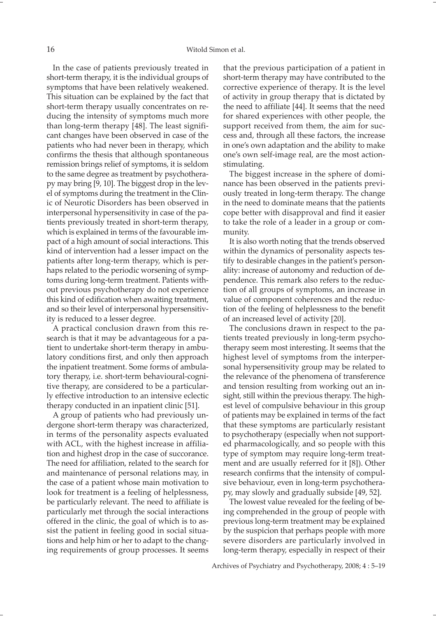In the case of patients previously treated in short-term therapy, it is the individual groups of symptoms that have been relatively weakened. This situation can be explained by the fact that short-term therapy usually concentrates on reducing the intensity of symptoms much more than long-term therapy [48]. The least significant changes have been observed in case of the patients who had never been in therapy, which confirms the thesis that although spontaneous remission brings relief of symptoms, it is seldom to the same degree as treatment by psychotherapy may bring [9, 10]. The biggest drop in the level of symptoms during the treatment in the Clinic of Neurotic Disorders has been observed in interpersonal hypersensitivity in case of the patients previously treated in short-term therapy, which is explained in terms of the favourable impact of a high amount of social interactions. This kind of intervention had a lesser impact on the patients after long-term therapy, which is perhaps related to the periodic worsening of symptoms during long-term treatment. Patients without previous psychotherapy do not experience this kind of edification when awaiting treatment, and so their level of interpersonal hypersensitivity is reduced to a lesser degree.

A practical conclusion drawn from this research is that it may be advantageous for a patient to undertake short-term therapy in ambulatory conditions first, and only then approach the inpatient treatment. Some forms of ambulatory therapy, i.e. short-term behavioural-cognitive therapy, are considered to be a particularly effective introduction to an intensive eclectic therapy conducted in an inpatient clinic [51].

A group of patients who had previously undergone short-term therapy was characterized, in terms of the personality aspects evaluated with ACL, with the highest increase in affiliation and highest drop in the case of succorance. The need for affiliation, related to the search for and maintenance of personal relations may, in the case of a patient whose main motivation to look for treatment is a feeling of helplessness, be particularly relevant. The need to affiliate is particularly met through the social interactions offered in the clinic, the goal of which is to assist the patient in feeling good in social situations and help him or her to adapt to the changing requirements of group processes. It seems

that the previous participation of a patient in short-term therapy may have contributed to the corrective experience of therapy. It is the level of activity in group therapy that is dictated by the need to affiliate [44]. It seems that the need for shared experiences with other people, the support received from them, the aim for success and, through all these factors, the increase in one's own adaptation and the ability to make one's own self-image real, are the most actionstimulating.

The biggest increase in the sphere of dominance has been observed in the patients previously treated in long-term therapy. The change in the need to dominate means that the patients cope better with disapproval and find it easier to take the role of a leader in a group or community.

It is also worth noting that the trends observed within the dynamics of personality aspects testify to desirable changes in the patient's personality: increase of autonomy and reduction of dependence. This remark also refers to the reduction of all groups of symptoms, an increase in value of component coherences and the reduction of the feeling of helplessness to the benefit of an increased level of activity [20].

The conclusions drawn in respect to the patients treated previously in long-term psychotherapy seem most interesting. It seems that the highest level of symptoms from the interpersonal hypersensitivity group may be related to the relevance of the phenomena of transference and tension resulting from working out an insight, still within the previous therapy. The highest level of compulsive behaviour in this group of patients may be explained in terms of the fact that these symptoms are particularly resistant to psychotherapy (especially when not supported pharmacologically, and so people with this type of symptom may require long-term treatment and are usually referred for it [8]). Other research confirms that the intensity of compulsive behaviour, even in long-term psychotherapy, may slowly and gradually subside [49, 52].

The lowest value revealed for the feeling of being comprehended in the group of people with previous long-term treatment may be explained by the suspicion that perhaps people with more severe disorders are particularly involved in long-term therapy, especially in respect of their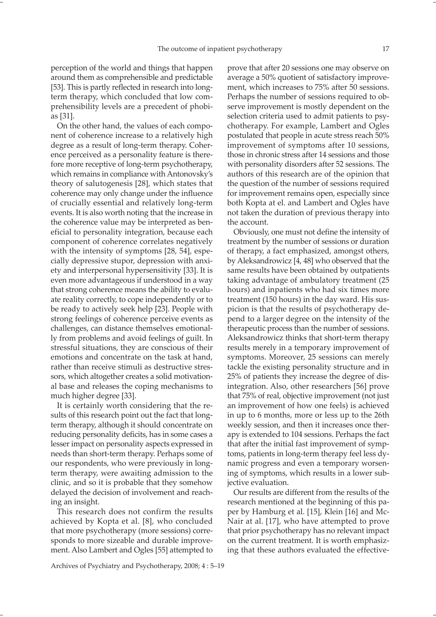On the other hand, the values of each component of coherence increase to a relatively high degree as a result of long-term therapy. Coherence perceived as a personality feature is therefore more receptive of long-term psychotherapy, which remains in compliance with Antonovsky's theory of salutogenesis [28], which states that coherence may only change under the influence of crucially essential and relatively long-term events. It is also worth noting that the increase in the coherence value may be interpreted as beneficial to personality integration, because each component of coherence correlates negatively with the intensity of symptoms [28, 54], especially depressive stupor, depression with anxiety and interpersonal hypersensitivity [33]. It is even more advantageous if understood in a way that strong coherence means the ability to evaluate reality correctly, to cope independently or to be ready to actively seek help [23]. People with strong feelings of coherence perceive events as challenges, can distance themselves emotionally from problems and avoid feelings of guilt. In stressful situations, they are conscious of their emotions and concentrate on the task at hand, rather than receive stimuli as destructive stressors, which altogether creates a solid motivational base and releases the coping mechanisms to much higher degree [33].

It is certainly worth considering that the results of this research point out the fact that longterm therapy, although it should concentrate on reducing personality deficits, has in some cases a lesser impact on personality aspects expressed in needs than short-term therapy. Perhaps some of our respondents, who were previously in longterm therapy, were awaiting admission to the clinic, and so it is probable that they somehow delayed the decision of involvement and reaching an insight.

This research does not confirm the results achieved by Kopta et al. [8], who concluded that more psychotherapy (more sessions) corresponds to more sizeable and durable improvement. Also Lambert and Ogles [55] attempted to prove that after 20 sessions one may observe on average a 50% quotient of satisfactory improvement, which increases to 75% after 50 sessions. Perhaps the number of sessions required to observe improvement is mostly dependent on the selection criteria used to admit patients to psychotherapy. For example, Lambert and Ogles postulated that people in acute stress reach 50% improvement of symptoms after 10 sessions, those in chronic stress after 14 sessions and those with personality disorders after 52 sessions. The authors of this research are of the opinion that the question of the number of sessions required for improvement remains open, especially since both Kopta at el. and Lambert and Ogles have not taken the duration of previous therapy into the account.

Obviously, one must not define the intensity of treatment by the number of sessions or duration of therapy, a fact emphasized, amongst others, by Aleksandrowicz [4, 48] who observed that the same results have been obtained by outpatients taking advantage of ambulatory treatment (25 hours) and inpatients who had six times more treatment (150 hours) in the day ward. His suspicion is that the results of psychotherapy depend to a larger degree on the intensity of the therapeutic process than the number of sessions. Aleksandrowicz thinks that short-term therapy results merely in a temporary improvement of symptoms. Moreover, 25 sessions can merely tackle the existing personality structure and in 25% of patients they increase the degree of disintegration. Also, other researchers [56] prove that 75% of real, objective improvement (not just an improvement of how one feels) is achieved in up to 6 months, more or less up to the 26th weekly session, and then it increases once therapy is extended to 104 sessions. Perhaps the fact that after the initial fast improvement of symptoms, patients in long-term therapy feel less dynamic progress and even a temporary worsening of symptoms, which results in a lower subjective evaluation.

Our results are different from the results of the research mentioned at the beginning of this paper by Hamburg et al. [15], Klein [16] and Mc-Nair at al. [17], who have attempted to prove that prior psychotherapy has no relevant impact on the current treatment. It is worth emphasizing that these authors evaluated the effective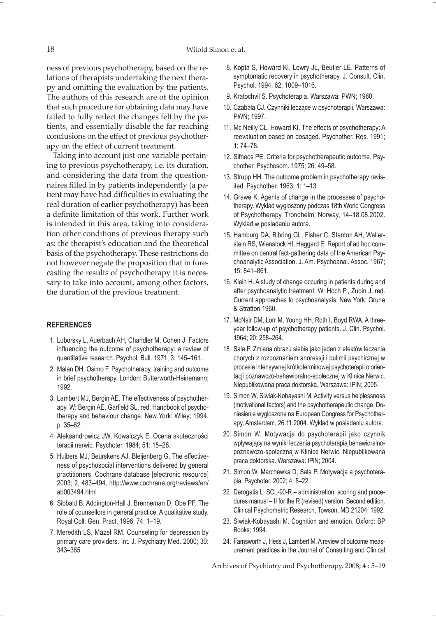ness of previous psychotherapy, based on the relations of therapists undertaking the next therapy and omitting the evaluation by the patients. The authors of this research are of the opinion that such procedure for obtaining data may have failed to fully reflect the changes felt by the patients, and essentially disable the far reaching conclusions on the effect of previous psychotherapy on the effect of current treatment.

Taking into account just one variable pertaining to previous psychotherapy, i.e. its duration, and considering the data from the questionnaires filled in by patients independently (a patient may have had difficulties in evaluating the real duration of earlier psychotherapy) has been a definite limitation of this work. Further work is intended in this area, taking into consideration other conditions of previous therapy such as: the therapist's education and the theoretical basis of the psychotherapy. These restrictions do not however negate the proposition that in forecasting the results of psychotherapy it is necessary to take into account, among other factors, the duration of the previous treatment.

## **REFERENCES**

- 1. Luborsky L, Auerbach AH, Chandler M, Cohen J. Factors influencing the outcome of psychotherapy: a review of quantitative research. Psychol. Bull. 1971; 3: 145–161.
- 2. Malan DH, Osimo F. Psychotherapy, training and outcome in brief psychotherapy. London: Butterworth-Heinemann; 1992.
- 3. Lambert MJ, Bergin AE. The effectiveness of psychotherapy. W: Bergin AE, Garfield SL, red. Handbook of psychotherapy and behaviour change. New York: Wiley; 1994. p. 35–62.
- 4. Aleksandrowicz JW, Kowalczyk E. Ocena skuteczności terapii nerwic. Psychoter. 1984; 51: 15–28.
- 5. Huibers MJ, Beurskens AJ, Bleijenberg G. The effectiveness of psychosocial interventions delivered by general practitioners. Cochrane database [electronic resource] 2003; 2, 483–494, http://www.cochrane.org/reviews/en/ ab003494.html
- 6. Sibbald B, Addington-Hall J, Brenneman D, Obe PF. The role of counsellors in general practice. A qualitative study. Royal Coll. Gen. Pract. 1996; 74: 1–19.
- 7. Meredith LS, Mazel RM. Counseling for depression by primary care providers. Int. J. Psychiatry Med. 2000; 30: 343–365.
- 8. Kopta S, Howard KI, Lowry JL, Beutler LE. Patterns of symptomatic recovery in psychotherapy. J. Consult. Clin. Psychol. 1994; 62: 1009–1016.
- 9. Kratochvil S. Psychoterapia. Warszawa: PWN; 1980.
- 10. Czabała CJ. Czynniki leczące w psychoterapii. Warszawa: PWN; 1997.
- 11. Mc Neilly CL, Howard KI. The effects of psychotherapy: A reevaluation based on dosaged. Psychother. Res. 1991; 1: 74–78.
- 12. Sifneos PE. Criteria for psychotherapeutic outcome. Psychother. Psychosom. 1975; 26: 49–58.
- 13. Strupp HH. The outcome problem in psychotherapy revisited. Psychother. 1963; 1: 1–13.
- 14. Grawe K. Agents of change in the processes of psychotherapy. Wykład wygłoszony podczas 18th World Congress of Psychotherapy, Trondheim, Norway, 14–18.08.2002. Wykład w posiadaniu autora.
- 15. Hamburg DA, Bibring GL, Fisher C, Stanton AH, Wallerstein RS, Wienstock HI, Haggard E. Report of ad hoc committee on central fact-gathering data of the American Psychoanalytic Association. J. Am. Psychoanal. Assoc. 1967; 15: 841–861.
- 16. Klein H. A study of change occuring in patients during and after psychoanalytic treatment. W: Hoch P., Zubin J, red. Current approaches to psychoanalysis. New York: Grune & Stratton 1960.
- 17. McNair DM, Lorr M, Young HH, Roth I, Boyd RWA. A threeyear follow-up of psychotherapy patients. J. Clin. Psychol. 1964; 20: 258–264.
- 18. Sala P. Zmiana obrazu siebie jako jeden z efektów leczenia chorych z rozpoznaniem anoreksji i bulimii psychicznej w procesie intensywnej krótkoterminowej psychoterapii o orientacji poznawczo-behawioralno-społecznej w Klinice Nerwic. Niepublikowana praca doktorska. Warszawa: IPiN; 2005.
- 19. Simon W, Siwiak-Kobayashi M. Activity versus helplessness (motivational factors) and the psychotherapeutic change. Doniesienie wygłoszone na European Congress for Psychotherapy, Amsterdam, 26.11.2004. Wykład w posiadaniu autora.
- 20. Simon W. Motywacja do psychoterapii jako czynnik wpływający na wyniki leczenia psychoterapią behawioralnopoznawczo-społeczną w Klinice Nerwic. Niepublikowana praca doktorska. Warszawa: IPiN; 2004.
- 21. Simon W, Marchewka D, Sala P. Motywacja a psychoterapia. Psychoter. 2002; 4: 5–22.
- 22. Derogatis L. SCL-90-R administration, scoring and procedures manual – II for the R (revised) version. Second edition. Clinical Psychometric Research, Towson, MD 21204; 1992.
- 23. Siwiak-Kobayashi M. Cognition and emotion. Oxford: BP Books; 1994.
- 24. Farnsworth J, Hess J, Lambert M. A review of outcome measurement practices in the Journal of Consulting and Clinical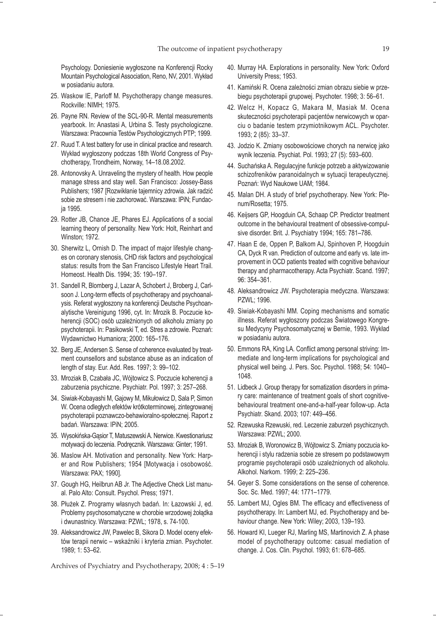Psychology. Doniesienie wygłoszone na Konferencji Rocky Mountain Psychological Association, Reno, NV, 2001. Wykład w posiadaniu autora.

- 25. Waskow IE, Parloff M. Psychotherapy change measures. Rockville: NIMH; 1975.
- 26. Payne RN. Review of the SCL-90-R. Mental measurements yearbook. In: Anastasi A, Urbina S. Testy psychologiczne. Warszawa: Pracownia Testów Psychologicznych PTP; 1999.
- 27. Ruud T. A test battery for use in clinical practice and research. Wykład wygłoszony podczas 18th World Congress of Psychotherapy, Trondheim, Norway, 14–18.08.2002.
- 28. Antonovsky A. Unraveling the mystery of health. How people manage stress and stay well. San Francisco: Jossey-Bass Publishers; 1987 [Rozwikłanie tajemnicy zdrowia. Jak radzić sobie ze stresem i nie zachorować. Warszawa: IPiN; Fundacja 1995.
- 29. Rotter JB, Chance JE, Phares EJ. Applications of a social learning theory of personality. New York: Holt, Reinhart and Winston; 1972.
- 30. Sherwitz L, Ornish D. The impact of major lifestyle changes on coronary stenosis, CHD risk factors and psychological status: results from the San Francisco Lifestyle Heart Trail. Homeost. Health Dis. 1994; 35: 190–197.
- 31. Sandell R, Blomberg J, Lazar A, Schobert J, Broberg J, Carlsoon J. Long-term effects of psychotherapy and psychoanalysis. Referat wygłoszony na konferencji Deutsche Psychoanalytische Vereinigung 1996, cyt. In: Mrozik B. Poczucie koherencji (SOC) osób uzależnionych od alkoholu zmiany po psychoterapii. In: Pasikowski T, ed. Stres a zdrowie. Poznań: Wydawnictwo Humaniora; 2000: 165–176.
- 32. Berg JE, Andersen S. Sense of coherence evaluated by treatment counsellors and substance abuse as an indication of length of stay. Eur. Add. Res. 1997; 3: 99–102.
- 33. Mroziak B, Czabała JC, Wójtowicz S. Poczucie koherencji a zaburzenia psychiczne. Psychiatr. Pol. 1997; 3: 257–268.
- 34. Siwiak-Kobayashi M, Gajowy M, Mikułowicz D, Sala P, Simon W. Ocena odległych efektów krótkoterminowej, zintegrowanej psychoterapii poznawczo-behawioralno-społecznej. Raport z badań. Warszawa: IPiN; 2005.
- 35. Wysokińska-Gąsior T, Matuszewski A. Nerwice. Kwestionariusz motywacji do leczenia. Podręcznik. Warszawa: Ginter; 1991.
- 36. Maslow AH. Motivation and personality. New York: Harper and Row Publishers; 1954 [Motywacja i osobowość. Warszawa: PAX; 1990].
- 37. Gough HG, Heilbrun AB Jr. The Adjective Check List manual. Palo Alto: Consult. Psychol. Press; 1971.
- 38. Płużek Z. Programy własnych badań. In: Łazowski J, ed. Problemy psychosomatyczne w chorobie wrzodowej żołądka i dwunastnicy. Warszawa: PZWL; 1978, s. 74-100.
- 39. Aleksandrowicz JW, Pawelec B, Sikora D. Model oceny efektów terapii nerwic – wskaźniki i kryteria zmian. Psychoter. 1989; 1: 53–62.

- 40. Murray HA. Explorations in personality. New York: Oxford University Press; 1953.
- 41. Kamiński R. Ocena zależności zmian obrazu siebie w przebiegu psychoterapii grupowej. Psychoter. 1998; 3: 56–61.
- 42. Welcz H, Kopacz G, Makara M, Masiak M. Ocena skuteczności psychoterapii pacjentów nerwicowych w oparciu o badanie testem przymiotnikowym ACL. Psychoter. 1993; 2 (85): 33–37.
- 43. Jodzio K. Zmiany osobowościowe chorych na nerwicę jako wynik leczenia. Psychiat. Pol. 1993; 27 (5): 593–600.
- 44. Suchańska A. Regulacyjne funkcje potrzeb a aktywizowanie schizofreników paranoidalnych w sytuacji terapeutycznej. Poznań: Wyd Naukowe UAM; 1984.
- 45. Malan DH. A study of brief psychotherapy. New York: Plenum/Rosetta; 1975.
- 46. Keijsers GP, Hoogduin CA, Schaap CP. Predictor treatment outcome in the behavioural treatment of obsessive-compulsive disorder. Brit. J. Psychiatry 1994; 165: 781–786.
- 47. Haan E de, Oppen P, Balkom AJ, Spinhoven P, Hoogduin CA, Dyck R van. Prediction of outcome and early vs. late improvement in OCD patients treated with cognitive behaviour therapy and pharmacotherapy. Acta Psychiatr. Scand. 1997; 96: 354–361.
- 48. Aleksandrowicz JW. Psychoterapia medyczna. Warszawa: PZWL; 1996.
- 49. Siwiak-Kobayashi MM. Coping mechanisms and somatic illness. Referat wygłoszony podczas Światowego Kongresu Medycyny Psychosomatycznej w Bernie, 1993. Wykład w posiadaniu autora.
- 50. Emmons RA, King LA. Conflict among personal striving: Immediate and long-term implications for psychological and physical well being. J. Pers. Soc. Psychol. 1988; 54: 1040– 1048.
- 51. Lidbeck J. Group therapy for somatization disorders in primary care: maintenance of treatment goals of short cognitivebehavioural treatment one-and-a-half-year follow-up. Acta Psychiatr. Skand. 2003; 107: 449–456.
- 52. Rzewuska Rzewuski, red. Leczenie zaburzeń psychicznych. Warszawa: PZWL; 2000.
- 53. Mroziak B, Woronowicz B, Wójtowicz S. Zmiany poczucia koherencji i stylu radzenia sobie ze stresem po podstawowym programie psychoterapii osób uzależnionych od alkoholu. Alkohol. Narkom. 1999; 2: 225–236.
- 54. Geyer S. Some considerations on the sense of coherence. Soc. Sc. Med. 1997; 44: 1771–1779.
- 55. Lambert MJ, Ogles BM. The efficacy and effectiveness of psychotherapy. In: Lambert MJ, ed. Psychotherapy and behaviour change. New York: Wiley; 2003, 139–193.
- 56. Howard KI, Lueger RJ, Marling MS, Martinovich Z. A phase model of psychotherapy outcome: casual mediation of change. J. Cos. Clin. Psychol. 1993; 61: 678–685.